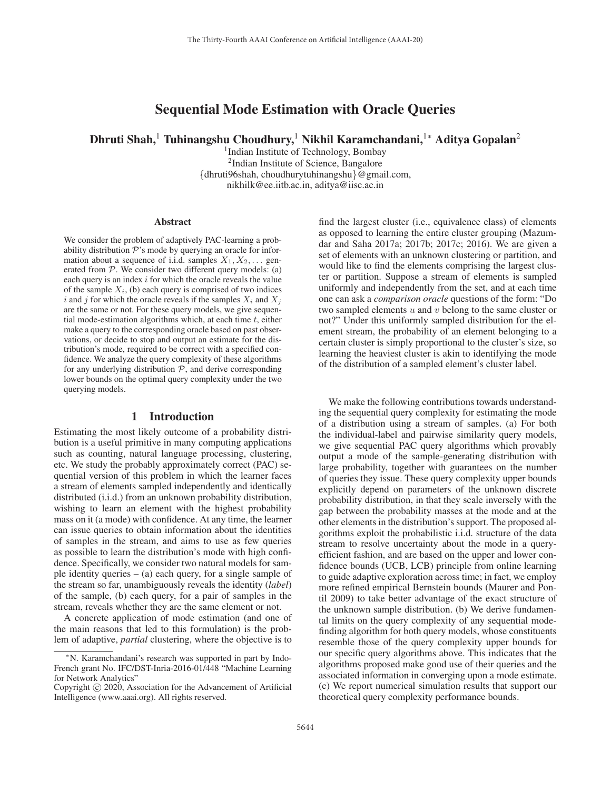# Sequential Mode Estimation with Oracle Queries

Dhruti Shah,<sup>1</sup> Tuhinangshu Choudhury,<sup>1</sup> Nikhil Karamchandani,<sup>1</sup>\* Aditya Gopalan<sup>2</sup>

1Indian Institute of Technology, Bombay 2Indian Institute of Science, Bangalore {dhruti96shah, choudhurytuhinangshu}@gmail.com, nikhilk@ee.iitb.ac.in, aditya@iisc.ac.in

#### **Abstract**

We consider the problem of adaptively PAC-learning a probability distribution  $\mathcal{P}$ 's mode by querying an oracle for information about a sequence of i.i.d. samples  $X_1, X_2, \ldots$  generated from  $P$ . We consider two different query models: (a) each query is an index  $i$  for which the oracle reveals the value of the sample  $X_i$ , (b) each query is comprised of two indices i and j for which the oracle reveals if the samples  $X_i$  and  $X_j$ are the same or not. For these query models, we give sequential mode-estimation algorithms which, at each time  $t$ , either make a query to the corresponding oracle based on past observations, or decide to stop and output an estimate for the distribution's mode, required to be correct with a specified confidence. We analyze the query complexity of these algorithms for any underlying distribution  $P$ , and derive corresponding lower bounds on the optimal query complexity under the two querying models.

# 1 Introduction

Estimating the most likely outcome of a probability distribution is a useful primitive in many computing applications such as counting, natural language processing, clustering, etc. We study the probably approximately correct (PAC) sequential version of this problem in which the learner faces a stream of elements sampled independently and identically distributed (i.i.d.) from an unknown probability distribution, wishing to learn an element with the highest probability mass on it (a mode) with confidence. At any time, the learner can issue queries to obtain information about the identities of samples in the stream, and aims to use as few queries as possible to learn the distribution's mode with high confidence. Specifically, we consider two natural models for sample identity queries  $-$  (a) each query, for a single sample of the stream so far, unambiguously reveals the identity (*label*) of the sample, (b) each query, for a pair of samples in the stream, reveals whether they are the same element or not.

A concrete application of mode estimation (and one of the main reasons that led to this formulation) is the problem of adaptive, *partial* clustering, where the objective is to

find the largest cluster (i.e., equivalence class) of elements as opposed to learning the entire cluster grouping (Mazumdar and Saha 2017a; 2017b; 2017c; 2016). We are given a set of elements with an unknown clustering or partition, and would like to find the elements comprising the largest cluster or partition. Suppose a stream of elements is sampled uniformly and independently from the set, and at each time one can ask a *comparison oracle* questions of the form: "Do two sampled elements  $u$  and  $v$  belong to the same cluster or not?" Under this uniformly sampled distribution for the element stream, the probability of an element belonging to a certain cluster is simply proportional to the cluster's size, so learning the heaviest cluster is akin to identifying the mode of the distribution of a sampled element's cluster label.

We make the following contributions towards understanding the sequential query complexity for estimating the mode of a distribution using a stream of samples. (a) For both the individual-label and pairwise similarity query models, we give sequential PAC query algorithms which provably output a mode of the sample-generating distribution with large probability, together with guarantees on the number of queries they issue. These query complexity upper bounds explicitly depend on parameters of the unknown discrete probability distribution, in that they scale inversely with the gap between the probability masses at the mode and at the other elements in the distribution's support. The proposed algorithms exploit the probabilistic i.i.d. structure of the data stream to resolve uncertainty about the mode in a queryefficient fashion, and are based on the upper and lower confidence bounds (UCB, LCB) principle from online learning to guide adaptive exploration across time; in fact, we employ more refined empirical Bernstein bounds (Maurer and Pontil 2009) to take better advantage of the exact structure of the unknown sample distribution. (b) We derive fundamental limits on the query complexity of any sequential modefinding algorithm for both query models, whose constituents resemble those of the query complexity upper bounds for our specific query algorithms above. This indicates that the algorithms proposed make good use of their queries and the associated information in converging upon a mode estimate. (c) We report numerical simulation results that support our theoretical query complexity performance bounds.

<sup>∗</sup>N. Karamchandani's research was supported in part by Indo-French grant No. IFC/DST-Inria-2016-01/448 "Machine Learning for Network Analytics"

Copyright  $\odot$  2020, Association for the Advancement of Artificial Intelligence (www.aaai.org). All rights reserved.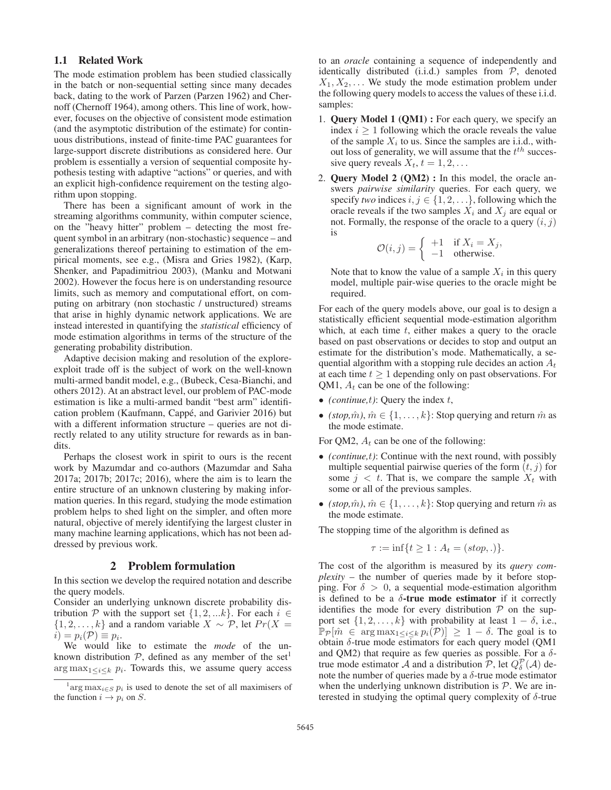# 1.1 Related Work

The mode estimation problem has been studied classically in the batch or non-sequential setting since many decades back, dating to the work of Parzen (Parzen 1962) and Chernoff (Chernoff 1964), among others. This line of work, however, focuses on the objective of consistent mode estimation (and the asymptotic distribution of the estimate) for continuous distributions, instead of finite-time PAC guarantees for large-support discrete distributions as considered here. Our problem is essentially a version of sequential composite hypothesis testing with adaptive "actions" or queries, and with an explicit high-confidence requirement on the testing algorithm upon stopping.

There has been a significant amount of work in the streaming algorithms community, within computer science, on the "heavy hitter" problem – detecting the most frequent symbol in an arbitrary (non-stochastic) sequence – and generalizations thereof pertaining to estimation of the empirical moments, see e.g., (Misra and Gries 1982), (Karp, Shenker, and Papadimitriou 2003), (Manku and Motwani 2002). However the focus here is on understanding resource limits, such as memory and computational effort, on computing on arbitrary (non stochastic / unstructured) streams that arise in highly dynamic network applications. We are instead interested in quantifying the *statistical* efficiency of mode estimation algorithms in terms of the structure of the generating probability distribution.

Adaptive decision making and resolution of the exploreexploit trade off is the subject of work on the well-known multi-armed bandit model, e.g., (Bubeck, Cesa-Bianchi, and others 2012). At an abstract level, our problem of PAC-mode estimation is like a multi-armed bandit "best arm" identification problem (Kaufmann, Cappe, and Garivier 2016) but ´ with a different information structure – queries are not directly related to any utility structure for rewards as in bandits.

Perhaps the closest work in spirit to ours is the recent work by Mazumdar and co-authors (Mazumdar and Saha 2017a; 2017b; 2017c; 2016), where the aim is to learn the entire structure of an unknown clustering by making information queries. In this regard, studying the mode estimation problem helps to shed light on the simpler, and often more natural, objective of merely identifying the largest cluster in many machine learning applications, which has not been addressed by previous work.

## 2 Problem formulation

In this section we develop the required notation and describe the query models.

Consider an underlying unknown discrete probability distribution P with the support set  $\{1, 2, \ldots k\}$ . For each  $i \in$  $\{1, 2, \ldots, k\}$  and a random variable  $X \sim \mathcal{P}$ , let  $Pr(X =$  $i) = p_i(\mathcal{P}) \equiv p_i.$ 

We would like to estimate the *mode* of the unknown distribution  $P$ , defined as any member of the set<sup>1</sup>  $\arg \max_{1 \leq i \leq k} p_i$ . Towards this, we assume query access to an *oracle* containing a sequence of independently and identically distributed (i.i.d.) samples from  $P$ , denoted  $X_1, X_2, \ldots$  We study the mode estimation problem under the following query models to access the values of these i.i.d. samples:

- 1. Query Model 1 (QM1) : For each query, we specify an index  $i \geq 1$  following which the oracle reveals the value of the sample  $X_i$  to us. Since the samples are i.i.d., without loss of generality, we will assume that the  $t^{th}$  successive query reveals  $X_t$ ,  $t = 1, 2, \ldots$
- 2. Query Model 2 (QM2) : In this model, the oracle answers *pairwise similarity* queries. For each query, we specify *two* indices  $i, j \in \{1, 2, \ldots\}$ , following which the oracle reveals if the two samples  $X_i$  and  $X_j$  are equal or not. Formally, the response of the oracle to a query  $(i, j)$ is

$$
\mathcal{O}(i,j) = \begin{cases} +1 & \text{if } X_i = X_j, \\ -1 & \text{otherwise.} \end{cases}
$$

Note that to know the value of a sample  $X_i$  in this query model, multiple pair-wise queries to the oracle might be required.

For each of the query models above, our goal is to design a statistically efficient sequential mode-estimation algorithm which, at each time  $t$ , either makes a query to the oracle based on past observations or decides to stop and output an estimate for the distribution's mode. Mathematically, a sequential algorithm with a stopping rule decides an action  $A_t$ at each time  $t \geq 1$  depending only on past observations. For QM1,  $A_t$  can be one of the following:

- *(continue,t)*: Query the index  $t$ ,
- *(stop, m̂), m̂*  $\in$  {1, ..., k}: Stop querying and return m̂ as the mode estimate.

For QM2,  $A_t$  can be one of the following:

- *(continue,*t*)*: Continue with the next round, with possibly multiple sequential pairwise queries of the form  $(t, j)$  for some  $j < t$ . That is, we compare the sample  $X_t$  with some or all of the previous samples.
- *(stop, m̂), m̂*  $\in$  {1, ..., k}: Stop querying and return m̂ as the mode estimate.

The stopping time of the algorithm is defined as

$$
\tau := \inf\{t \ge 1 : A_t = (stop, .)\}.
$$

The cost of the algorithm is measured by its *query complexity* – the number of queries made by it before stopping. For  $\delta > 0$ , a sequential mode-estimation algorithm is defined to be a  $\delta$ -true mode estimator if it correctly identifies the mode for every distribution  $P$  on the support set  $\{1, 2, \ldots, k\}$  with probability at least  $1 - \delta$ , i.e.,  $\mathbb{P}_{\mathcal{P}}[\hat{m} \in \arg \max_{1 \leq i \leq k} p_i(\mathcal{P})] \geq 1 - \delta$ . The goal is to obtain δ-true mode estimators for each query model (QM1 and QM2) that require as few queries as possible. For a  $\delta$ true mode estimator A and a distribution  $\overline{P}$ , let  $Q_{\delta}^{\mathcal{P}}(\mathcal{A})$  denote the number of queries made by a  $\delta$ -true mode estimator note the number of queries made by a  $\delta$ -true mode estimator when the underlying unknown distribution is  $P$ . We are interested in studying the optimal query complexity of  $\delta$ -true

<sup>&</sup>lt;sup>1</sup>arg max<sub>*i*∈S</sub>  $p_i$  is used to denote the set of all maximisers of function  $i \to n_i$  on S the function  $i \rightarrow p_i$  on S.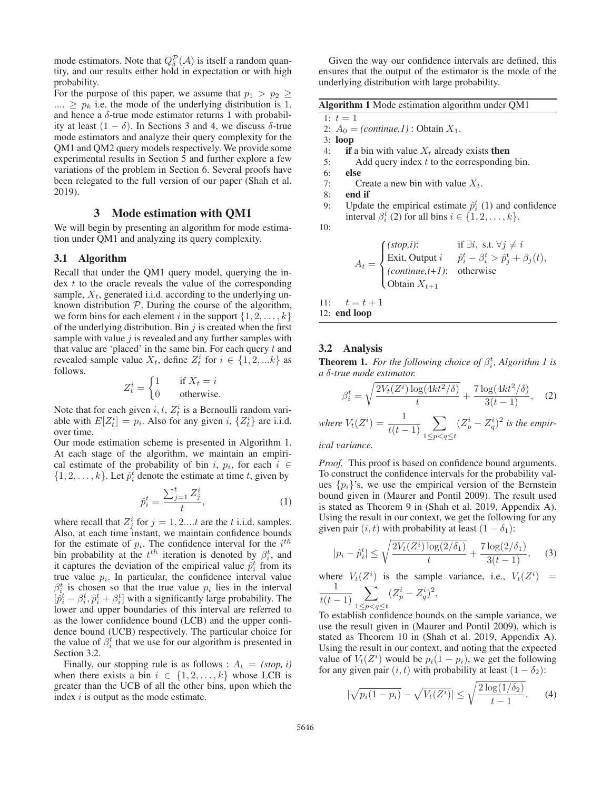mode estimators. Note that  $Q_{\delta}^{\mathcal{P}}(\mathcal{A})$  is itself a random quantity and our results either hold in expectation or with high tity, and our results either hold in expectation or with high probability.

For the purpose of this paper, we assume that  $p_1 > p_2 \geq$  $\ldots \geq p_k$  i.e. the mode of the underlying distribution is 1, and hence a  $\delta$ -true mode estimator returns 1 with probability at least  $(1 - \delta)$ . In Sections 3 and 4, we discuss δ-true mode estimators and analyze their query complexity for the QM1 and QM2 query models respectively. We provide some experimental results in Section 5 and further explore a few variations of the problem in Section 6. Several proofs have been relegated to the full version of our paper (Shah et al. 2019).

# 3 Mode estimation with QM1

We will begin by presenting an algorithm for mode estimation under QM1 and analyzing its query complexity.

### 3.1 Algorithm

Recall that under the QM1 query model, querying the in- $\text{dex } t$  to the oracle reveals the value of the corresponding sample,  $X_t$ , generated i.i.d. according to the underlying unknown distribution  $P$ . During the course of the algorithm, we form bins for each element i in the support  $\{1, 2, \ldots, k\}$ of the underlying distribution. Bin  $j$  is created when the first sample with value  $j$  is revealed and any further samples with that value are 'placed' in the same bin. For each query  $t$  and revealed sample value  $X_t$ , define  $Z_t^i$  for  $i \in \{1, 2, ...k\}$  as follows follows.

$$
Z_t^i = \begin{cases} 1 & \text{if } X_t = i \\ 0 & \text{otherwise.} \end{cases}
$$

Note that for each given  $i, t, Z_t^i$  is a Bernoulli random variable with  $E[Z_t^i] = p_i$ . Also for any given i,  $\{Z_t^i\}$  are i.i.d. over time over time.

Our mode estimation scheme is presented in Algorithm 1. At each stage of the algorithm, we maintain an empirical estimate of the probability of bin i,  $p_i$ , for each  $i \in$  $\{1, 2, \ldots, k\}$ . Let  $\hat{p}_i^t$  denote the estimate at time t, given by

$$
\hat{p}_i^t = \frac{\sum_{j=1}^t Z_j^i}{t},\tag{1}
$$

where recall that  $Z_j^i$  for  $j = 1, 2, \dots, t$  are the t i.i.d. samples.<br>Also at each time instant, we maintain confidence bounds Also, at each time instant, we maintain confidence bounds for the estimate of  $p_i$ . The confidence interval for the  $i^{th}$ bin probability at the  $t^{th}$  iteration is denoted by  $\beta_i^t$ , and it captures the deviation of the empirical value  $\hat{p}_i^t$  from its<br>true value  $p_i$ . In particular, the confidence interval value true value  $p_i$ . In particular, the confidence interval value  $\beta_i^t$  is chosen so that the true value  $p_i$  lies in the interval  $[\hat{p}_i^t - \beta_i^t, \hat{p}_i^t + \beta_i^t]$  with a significantly large probability. The lower and upper boundaries of this interval are referred to lower and upper boundaries of this interval are referred to as the lower confidence bound (LCB) and the upper confidence bound (UCB) respectively. The particular choice for the value of  $\beta_i^t$  that we use for our algorithm is presented in Section 3.2.

Finally, our stopping rule is as follows :  $A_t = (stop, i)$ when there exists a bin  $i \in \{1, 2, ..., k\}$  whose LCB is greater than the UCB of all the other bins, upon which the index  $i$  is output as the mode estimate.

Given the way our confidence intervals are defined, this ensures that the output of the estimator is the mode of the underlying distribution with large probability.

|  |  |  |  | Algorithm 1 Mode estimation algorithm under QM1 |
|--|--|--|--|-------------------------------------------------|
|--|--|--|--|-------------------------------------------------|

1: 
$$
t = 1
$$
  
2:  $A_0 = 0$ 

- 2:  $A_0 = (continue, 1)$ : Obtain  $X_1$ .<br>3: **loop**
- 3: loop
- 4: if a bin with value  $X_t$  already exists then
- 5: Add query index  $t$  to the corresponding bin.
- 6: else
- 7: Create a new bin with value  $X_t$ .<br>8: **end if**
- end if
- 9: Update the empirical estimate  $\hat{p}_i^t$  (1) and confidence interval  $\beta_i^t$  (2) for all bins  $i \in \{1, 2, \dots, k\}$ interval  $\beta_i^t$  (2) for all bins  $i \in \{1, 2, ..., k\}$ .

10:

$$
A_t = \begin{cases} (stop,i): & \text{if } \exists i, \text{ s.t. } \forall j \neq i \\ \text{Exit, Output } i & \hat{p}_i^t - \beta_i^t > \hat{p}_j^t + \beta_j(t), \\ (continue, t+1): & \text{otherwise} \\ \text{Obtain } X_{t+1} \end{cases}
$$

11:  $t = t + 1$ <br>12: **end loop** 

#### 3.2 Analysis

**Theorem 1.** For the following choice of  $\beta_i^t$ , Algorithm 1 is *a* δ*-true mode estimator.*

$$
\beta_i^t = \sqrt{\frac{2V_t(Z^i)\log(4kt^2/\delta)}{t}} + \frac{7\log(4kt^2/\delta)}{3(t-1)},
$$
 (2)

*where*  $V_t(Z^i) = \frac{1}{t(t-1)}$  $\sum$  $\sum_{1 \leq p < q \leq t} (Z_p^i - Z_q^i)^2$  is the empir-

*ical variance.*

*Proof.* This proof is based on confidence bound arguments. To construct the confidence intervals for the probability values  $\{p_i\}$ 's, we use the empirical version of the Bernstein bound given in (Maurer and Pontil 2009). The result used is stated as Theorem 9 in (Shah et al. 2019, Appendix A). Using the result in our context, we get the following for any given pair  $(i, t)$  with probability at least  $(1 - \delta_1)$ :

$$
|p_i - \hat{p}_i^t| \le \sqrt{\frac{2V_t(Z^i)\log(2/\delta_1)}{t}} + \frac{7\log(2/\delta_1)}{3(t-1)},\tag{3}
$$

where  $V_t(Z^i)$ ) is the sample variance, i.e.,  $V_t(Z^i)$  =  $\frac{1}{t(t-1)}$  $\sum$  $\sum_{1\leq p< q\leq t}(Z_{p}^{i}-Z_{q}^{i})^{2}.$ 

To establish confidence bounds on the sample variance, we use the result given in (Maurer and Pontil 2009), which is stated as Theorem 10 in (Shah et al. 2019, Appendix A). Using the result in our context, and noting that the expected value of  $V_t(Z^i)$  would be  $p_i(1 - p_i)$ , we get the following<br>for any given pair  $(i, t)$  with probability at least  $(1 - \delta_0)$ . for any given pair  $(i, t)$  with probability at least  $(1 - \delta_2)$ :

$$
|\sqrt{p_i(1-p_i)} - \sqrt{V_t(Z^i)}| \le \sqrt{\frac{2\log(1/\delta_2)}{t-1}}.
$$
 (4)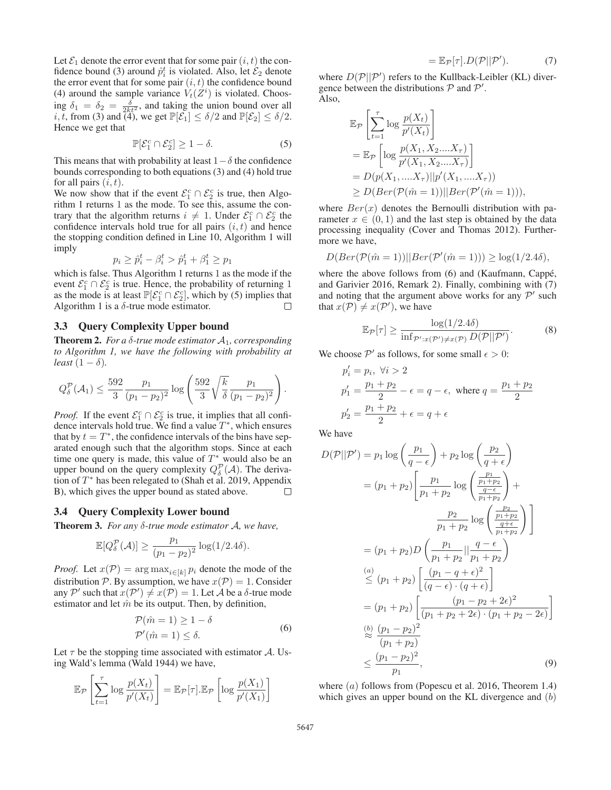Let  $\mathcal{E}_1$  denote the error event that for some pair  $(i, t)$  the confidence bound (3) around  $\hat{p}_i^t$  is violated. Also, let  $\mathcal{E}_2$  denote the error event that for some pair  $(i, t)$  the confidence bound the error event that for some pair  $(i, t)$  the confidence bound (4) around the sample variance  $V_t(Z^i)$  is violated. Choos-<br>ing  $\delta_t = \delta_t = -\delta$ , and taking the union bound over all ing  $\delta_1 = \delta_2 = \frac{\delta}{2kt^2}$ , and taking the union bound over all  $i$  t from (3) and (4) we get  $\mathbb{P}[\mathcal{E}_1] < \delta/2$  and  $\mathbb{P}[\mathcal{E}_2] < \delta/2$ *i*, *t*, from (3) and (4), we get  $\mathbb{P}[\mathcal{E}_1] \le \delta/2$  and  $\mathbb{P}[\mathcal{E}_2] \le \delta/2$ .<br>Hence we get that Hence we get that

$$
\mathbb{P}[\mathcal{E}_1^c \cap \mathcal{E}_2^c] \ge 1 - \delta. \tag{5}
$$

This means that with probability at least  $1-\delta$  the confidence bounds corresponding to both equations (3) and (4) hold true for all pairs  $(i, t)$ .

We now show that if the event  $\mathcal{E}_1^c \cap \mathcal{E}_2^c$  is true, then Algorithm 1 returns 1 as the mode. To see this, assume the contrary that the algorithm returns  $i \neq 1$ . Under  $\mathcal{E}_1^c \cap \mathcal{E}_2^c$  the confidence intervals hold true for all pairs  $(i, t)$  and hence confidence intervals hold true for all pairs  $(i, t)$  and hence the stopping condition defined in Line 10, Algorithm 1 will imply

$$
p_i \ge \hat{p}_i^t - \beta_i^t > \hat{p}_1^t + \beta_1^t \ge p_1
$$
  
Thus,  $\lambda$  basis that,  $\lambda$ 

which is false. Thus Algorithm 1 returns 1 as the mode if the event  $\mathcal{E}^c_{\sigma} \cap \mathcal{E}^c_{\sigma}$  is true. Hence, the probability of returning 1 event  $\mathcal{E}_1^c \cap \mathcal{E}_2^c$  is true. Hence, the probability of returning 1 as the mode is at least  $\mathbb{P}[\mathcal{E}_s^c \cap \mathcal{E}_s^c]$  which by (5) implies that as the mode is at least  $\mathbb{P}[\mathcal{E}_1^c \cap \mathcal{E}_2^c]$ , which by (5) implies that Algorithm 1 is a  $\delta$ -true mode estimator Algorithm 1 is a  $\delta$ -true mode estimator.

# 3.3 Query Complexity Upper bound

Theorem 2. *For a* δ*-true mode estimator* A1*, corresponding to Algorithm 1, we have the following with probability at least*  $(1 - \delta)$ *.* 

$$
Q_{\delta}^{\mathcal{P}}(\mathcal{A}_1) \le \frac{592}{3} \frac{p_1}{(p_1 - p_2)^2} \log \left( \frac{592}{3} \sqrt{\frac{k}{\delta}} \frac{p_1}{(p_1 - p_2)^2} \right)
$$

*Proof.* If the event  $\mathcal{E}_1^c \cap \mathcal{E}_2^c$  is true, it implies that all confidence intervals hold true. We find a value  $T^*$ , which ensures that by  $t = T^*$ , the confidence intervals of the bins have separated enough such that the algorithm stops. Since at each time one query is made, this value of  $T^*$  would also be an upper bound on the query complexity  $Q_{\delta}^{\mathcal{P}}(\mathcal{A})$ . The deriva-<br>tion of  $T^*$  has been relegated to (Shah et al. 2019) Appendix tion of  $T^*$  has been relegated to (Shah et al. 2019, Appendix B), which gives the upper bound as stated above.  $\Box$ 

#### 3.4 Query Complexity Lower bound

Theorem 3. *For any* δ*-true mode estimator* A*, we have,*

$$
\mathbb{E}[Q_{\delta}^{\mathcal{P}}(\mathcal{A})] \ge \frac{p_1}{(p_1 - p_2)^2} \log(1/2.4\delta).
$$

*Proof.* Let  $x(\mathcal{P}) = \arg \max_{i \in [k]} p_i$  denote the mode of the distribution P. By assumption, we have  $x(\mathcal{P})=1$ . Consider any  $\mathcal{P}'$  such that  $x(\mathcal{P}') \neq x(\mathcal{P}) = 1$ . Let  $\mathcal{A}$  be a  $\delta$ -true mode estimator and let  $\hat{m}$  be its output. Then by definition estimator and let  $\hat{m}$  be its output. Then, by definition,

$$
\mathcal{P}(\hat{m} = 1) \ge 1 - \delta
$$
  
\n
$$
\mathcal{P}'(\hat{m} = 1) \le \delta.
$$
 (6)

Let  $\tau$  be the stopping time associated with estimator  $\mathcal{A}$ . Using Wald's lemma (Wald 1944) we have,

$$
\mathbb{E}_{\mathcal{P}}\left[\sum_{t=1}^{\tau} \log \frac{p(X_t)}{p'(X_t)}\right] = \mathbb{E}_{\mathcal{P}}[\tau].\mathbb{E}_{\mathcal{P}}\left[\log \frac{p(X_1)}{p'(X_1)}\right]
$$

$$
= \mathbb{E}_{\mathcal{P}}[\tau].D(\mathcal{P}||\mathcal{P}'). \tag{7}
$$

where  $D(\mathcal{P}||\mathcal{P}')$  refers to the Kullback-Leibler (KL) diver-<br>gence between the distributions  $\mathcal{P}$  and  $\mathcal{P}'$ gence between the distributions  $P$  and  $P'$ . Also,

$$
\mathbb{E}_{\mathcal{P}}\left[\sum_{t=1}^{\tau}\log\frac{p(X_t)}{p'(X_t)}\right]
$$
\n
$$
= \mathbb{E}_{\mathcal{P}}\left[\log\frac{p(X_1, X_2,...X_{\tau})}{p'(X_1, X_2,...X_{\tau})}\right]
$$
\n
$$
= D(p(X_1,...X_{\tau})||p'(X_1,...X_{\tau}))
$$
\n
$$
\geq D(Ber(\mathcal{P}(\hat{m}=1))||Ber(\mathcal{P}'(\hat{m}=1))),
$$

where  $Ber(x)$  denotes the Bernoulli distribution with parameter  $x \in (0, 1)$  and the last step is obtained by the data processing inequality (Cover and Thomas 2012). Furthermore we have,

$$
D(Ber(\mathcal{P}(\hat{m}=1))||Ber(\mathcal{P}'(\hat{m}=1))) \ge \log(1/2.4\delta),
$$

where the above follows from (6) and (Kaufmann, Cappé, and Garivier 2016, Remark 2). Finally, combining with (7) and noting that the argument above works for any  $\mathcal{P}'$  such that  $x(\mathcal{P}) \neq x(\mathcal{P}')$ , we have

$$
\mathbb{E}_{\mathcal{P}}[\tau] \ge \frac{\log(1/2.4\delta)}{\inf_{\mathcal{P}':x(\mathcal{P}')\neq x(\mathcal{P})} D(\mathcal{P}||\mathcal{P}')}.
$$
(8)

We choose  $\mathcal{P}'$  as follows, for some small  $\epsilon > 0$ :

$$
p'_i = p_i, \ \forall i > 2
$$
  
\n
$$
p'_1 = \frac{p_1 + p_2}{2} - \epsilon = q - \epsilon, \text{ where } q = \frac{p_1 + p_2}{2}
$$
  
\n
$$
p'_2 = \frac{p_1 + p_2}{2} + \epsilon = q + \epsilon
$$

We have

.

$$
D(\mathcal{P}||\mathcal{P}') = p_1 \log \left(\frac{p_1}{q-\epsilon}\right) + p_2 \log \left(\frac{p_2}{q+\epsilon}\right)
$$
  
\n
$$
= (p_1 + p_2) \left[ \frac{p_1}{p_1 + p_2} \log \left(\frac{\frac{p_1}{p_1 + p_2}}{\frac{q-\epsilon}{p_1 + p_2}}\right) + \frac{p_2}{p_1 + p_2} \log \left(\frac{\frac{p_2}{p_1 + p_2}}{\frac{q+\epsilon}{p_1 + p_2}}\right) \right]
$$
  
\n
$$
= (p_1 + p_2) D \left(\frac{p_1}{p_1 + p_2} || \frac{q-\epsilon}{p_1 + p_2}\right)
$$
  
\n
$$
\leq (p_1 + p_2) \left[ \frac{(p_1 - q + \epsilon)^2}{(q-\epsilon) \cdot (q+\epsilon)} \right]
$$
  
\n
$$
= (p_1 + p_2) \left[ \frac{(p_1 - p_2 + 2\epsilon)^2}{(p_1 + p_2 + 2\epsilon) \cdot (p_1 + p_2 - 2\epsilon)} \right]
$$
  
\n
$$
\geq \frac{(p_1 - p_2)^2}{(p_1 + p_2)}
$$
  
\n
$$
\leq \frac{(p_1 - p_2)^2}{p_1}, \qquad (9)
$$

where  $(a)$  follows from (Popescu et al. 2016, Theorem 1.4) which gives an upper bound on the KL divergence and  $(b)$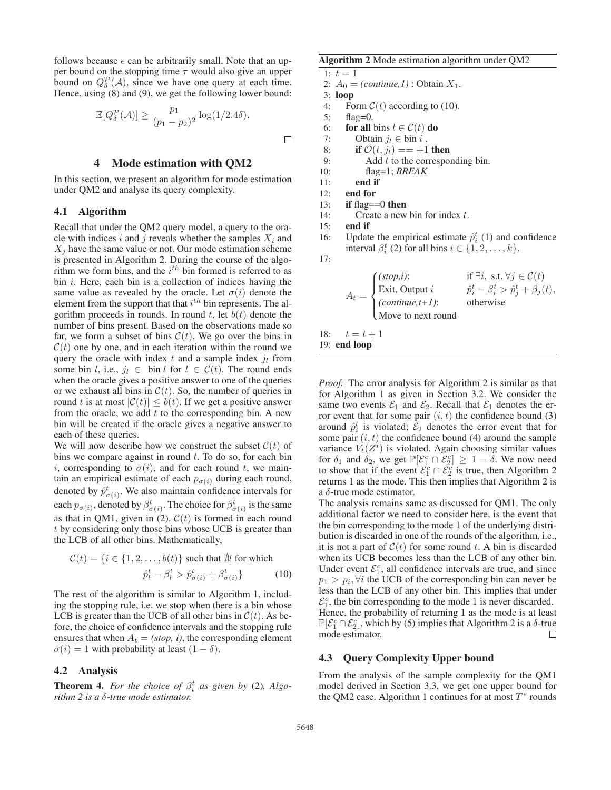follows because  $\epsilon$  can be arbitrarily small. Note that an upper bound on the stopping time  $\tau$  would also give an upper bound on  $Q_{\delta}^{\mathcal{P}}(\mathcal{A})$ , since we have one query at each time.<br>Hence using (8) and (9) we get the following lower bound: Hence, using (8) and (9), we get the following lower bound:

$$
\mathbb{E}[Q_{\delta}^{\mathcal{P}}(\mathcal{A})] \ge \frac{p_1}{(p_1 - p_2)^2} \log(1/2.4\delta).
$$

# 4 Mode estimation with QM2

In this section, we present an algorithm for mode estimation under QM2 and analyse its query complexity.

## 4.1 Algorithm

Recall that under the QM2 query model, a query to the oracle with indices i and j reveals whether the samples  $X_i$  and  $X_i$  have the same value or not. Our mode estimation scheme is presented in Algorithm 2. During the course of the algorithm we form bins, and the  $i<sup>th</sup>$  bin formed is referred to as bin  $i$ . Here, each bin is a collection of indices having the same value as revealed by the oracle. Let  $\sigma(i)$  denote the element from the support that that  $i^{th}$  bin represents. The algorithm proceeds in rounds. In round t, let  $b(t)$  denote the number of bins present. Based on the observations made so far, we form a subset of bins  $C(t)$ . We go over the bins in  $\mathcal{C}(t)$  one by one, and in each iteration within the round we query the oracle with index t and a sample index  $j_l$  from some bin l, i.e.,  $j_l \in$  bin l for  $l \in \mathcal{C}(t)$ . The round ends when the oracle gives a positive answer to one of the queries or we exhaust all bins in  $C(t)$ . So, the number of queries in round t is at most  $|\mathcal{C}(t)| \leq b(t)$ . If we get a positive answer from the oracle, we add  $t$  to the corresponding bin. A new bin will be created if the oracle gives a negative answer to each of these queries.

We will now describe how we construct the subset  $C(t)$  of bins we compare against in round  $t$ . To do so, for each bin i, corresponding to  $\sigma(i)$ , and for each round t, we maintain an empirical estimate of each  $p_{\sigma(i)}$  during each round, denoted by  $\hat{p}^t_{\sigma(i)}$ . We also maintain confidence intervals for each  $p_{\sigma(i)}$ , denoted by  $\beta^t_{\sigma(i)}$ . The choice for  $\beta^t_{\sigma(i)}$  is the same as that in QM1, given in (2).  $C(t)$  is formed in each round t by considering only those bins whose UCB is greater than the LCB of all other bins. Mathematically,

$$
\mathcal{C}(t) = \{i \in \{1, 2, \dots, b(t)\} \text{ such that } \nexists l \text{ for which}
$$
\n
$$
\hat{p}_l^t - \beta_l^t > \hat{p}_{\sigma(i)}^t + \beta_{\sigma(i)}^t\} \tag{10}
$$

The rest of the algorithm is similar to Algorithm 1, including the stopping rule, i.e. we stop when there is a bin whose LCB is greater than the UCB of all other bins in  $\mathcal{C}(t)$ . As before, the choice of confidence intervals and the stopping rule ensures that when  $A_t = (stop, i)$ , the corresponding element  $\sigma(i)=1$  with probability at least  $(1 - \delta)$ .

#### 4.2 Analysis

**Theorem 4.** *For the choice of*  $\beta_i^t$  *as given by* (2)*, Algorithm 2 is a* δ*-true mode estimator.*

#### Algorithm 2 Mode estimation algorithm under QM2

- 1:  $t = 1$
- 2:  $A_0 = (continue, 1)$ : Obtain  $X_1$ .
- 3: loop
- 4: Form  $C(t)$  according to (10).<br>5: flag=0.
- flag= $0$ .

 $\Box$ 

- 6: **for all** bins  $l \in C(t)$  **do**<br>7: Obtain  $j_l \in \text{bin } i$ .
- 7: Obtain  $j_l \in \text{bin } i$ .<br>8: **if**  $\mathcal{O}(t, j_l) == +1$
- 8: **if**  $\mathcal{O}(t, j_l) = = +1$  **then**<br>9: Add *t* to the correspon
	- Add  $t$  to the corresponding bin.
- 10: flag=1; *BREAK*
- 11: end if
- 12: end for
- 13: if flag $==0$  then
- 14: Create a new bin for index  $t$ .

15: end if

16: Update the empirical estimate  $\hat{p}_i^t$  (1) and confidence interval  $\hat{\beta}_i^t$  (2) for all bins  $i \in \{1, 2, \ldots, k\}$ interval  $\beta_i^t$  (2) for all bins  $i \in \{1, 2, ..., k\}$ .

17:

$$
A_t = \begin{cases} (stop,i): & \text{if } \exists i, \text{ s.t. } \forall j \in \mathcal{C}(t) \\ \text{Exit, Output } i & \hat{p}_i^t - \beta_i^t > \hat{p}_j^t + \beta_j(t), \\ (continue, t+1): & \text{otherwise} \\ \text{Move to next round} \end{cases}
$$

18:  $t = t + 1$ <br>19: **end loop** 

*Proof.* The error analysis for Algorithm 2 is similar as that for Algorithm 1 as given in Section 3.2. We consider the same two events  $\mathcal{E}_1$  and  $\mathcal{E}_2$ . Recall that  $\mathcal{E}_1$  denotes the error event that for some pair  $(i, t)$  the confidence bound (3) around  $\hat{p}_i^t$  is violated;  $\mathcal{E}_2$  denotes the error event that for some pair  $(i, t)$  the confidence bound (4) around the sample some pair  $(i, t)$  the confidence bound (4) around the sample variance  $V_t(Z^i)$  is violated. Again choosing similar values<br>for  $\delta_1$  and  $\delta_2$  we get  $\mathbb{P}[\mathcal{E} \subseteq \cap \mathcal{E} \leq 1 - \delta]$  We now need for  $\delta_1$  and  $\delta_2$ , we get  $\mathbb{P}[\mathcal{E}_1^c \cap \mathcal{E}_2^c] \ge 1 - \delta$ . We now need to show that if the event  $\mathcal{E}_2^c \cap \mathcal{E}_2^c$  is true, then Algorithm 2 to show that if the event  $\tilde{\mathcal{E}}_1^c \cap \tilde{\mathcal{E}}_2^c$  is true, then Algorithm 2 returns 1 as the mode. This then implies that Algorithm 2 is a  $\delta$ -true mode estimator.

The analysis remains same as discussed for QM1. The only additional factor we need to consider here, is the event that the bin corresponding to the mode 1 of the underlying distribution is discarded in one of the rounds of the algorithm, i.e., it is not a part of  $C(t)$  for some round t. A bin is discarded when its UCB becomes less than the LCB of any other bin. Under event  $\mathcal{E}_1^c$ , all confidence intervals are true, and since  $p_1 > p_i$ ,  $\forall i$  the UCB of the corresponding bin can never be less than the LCB of any other bin. This implies that under  $\mathcal{E}_1^c$ , the bin corresponding to the mode 1 is never discarded.<br>Hence, the probability of returning 1 as the mode is at leas Hence, the probability of returning 1 as the mode is at least  $\mathbb{P}[\mathcal{E}_1^c \cap \mathcal{E}_2^c]$ , which by (5) implies that Algorithm 2 is a  $\delta$ -true mode estimator mode estimator.

#### 4.3 Query Complexity Upper bound

From the analysis of the sample complexity for the QM1 model derived in Section 3.3, we get one upper bound for the QM2 case. Algorithm 1 continues for at most  $T^*$  rounds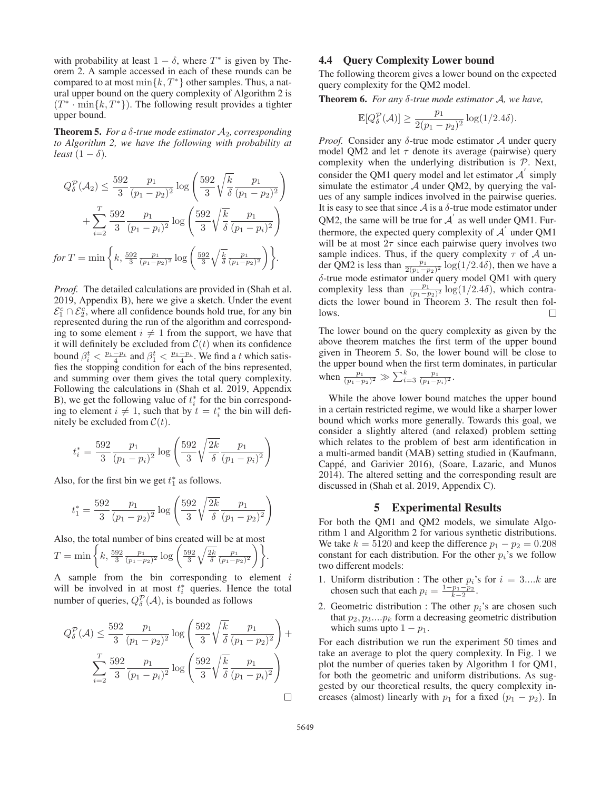with probability at least  $1 - \delta$ , where  $T^*$  is given by Theorem 2. A sample accessed in each of these rounds can be compared to at most  $\min\{k, T^*\}$  other samples. Thus, a natural upper bound on the query complexity of Algorithm 2 is  $(T^* \cdot \min\{k, T^*\})$ . The following result provides a tighter upper bound.

**Theorem 5.** *For a*  $\delta$ *-true mode estimator*  $A_2$ *, corresponding to Algorithm 2, we have the following with probability at least*  $(1 - \delta)$ *.* 

$$
Q_{\delta}^{\mathcal{P}}(A_2) \leq \frac{592}{3} \frac{p_1}{(p_1 - p_2)^2} \log \left( \frac{592}{3} \sqrt{\frac{k}{\delta}} \frac{p_1}{(p_1 - p_2)^2} \right) + \sum_{i=2}^{T} \frac{592}{3} \frac{p_1}{(p_1 - p_i)^2} \log \left( \frac{592}{3} \sqrt{\frac{k}{\delta}} \frac{p_1}{(p_1 - p_i)^2} \right)
$$
  
for  $T = \min \left\{ k, \frac{592}{3} \frac{p_1}{(p_1 - p_2)^2} \log \left( \frac{592}{3} \sqrt{\frac{k}{\delta}} \frac{p_1}{(p_1 - p_2)^2} \right) \right\}.$ 

*Proof.* The detailed calculations are provided in (Shah et al. 2019, Appendix B), here we give a sketch. Under the event  $\mathcal{E}_1^c \cap \mathcal{E}_2^c$ , where all confidence bounds hold true, for any bin represented during the run of the algorithm and corresponding to some element  $i \neq 1$  from the support, we have that it will definitely be excluded from  $\mathcal{C}(t)$  when its confidence bound  $\beta_i^t < \frac{p_1 - p_i}{4}$  and  $\beta_1^t < \frac{p_1 - p_i}{4}$ . We find a t which satisfies the stopping condition for each of the bins represented, and summing over them gives the total query complexity. Following the calculations in (Shah et al. 2019, Appendix B), we get the following value of  $t_i^*$  for the bin corresponding to element  $i \neq 1$ , such that by  $t = t_i^*$  the bin will definitely be excluded from  $C(t)$ nitely be excluded from  $C(t)$ .

$$
t_i^* = \frac{592}{3} \frac{p_1}{(p_1 - p_i)^2} \log \left( \frac{592}{3} \sqrt{\frac{2k}{\delta}} \frac{p_1}{(p_1 - p_i)^2} \right)
$$

Also, for the first bin we get  $t_1^*$  as follows.

$$
t_1^* = \frac{592}{3} \frac{p_1}{(p_1 - p_2)^2} \log \left( \frac{592}{3} \sqrt{\frac{2k}{\delta}} \frac{p_1}{(p_1 - p_2)^2} \right)
$$

Also, the total number of bins created will be at most

$$
T = \min\bigg\{k, \frac{592}{3} \frac{p_1}{(p_1 - p_2)^2} \log\bigg(\frac{592}{3}\sqrt{\frac{2k}{\delta}} \frac{p_1}{(p_1 - p_2)^2}\bigg)\bigg\}.
$$

A sample from the bin corresponding to element  $i$ will be involved in at most  $t_i^*$  queries. Hence the total number of queries,  $Q_{\delta}^{\mathcal{P}}(\mathcal{A})$ , is bounded as follows

$$
Q_{\delta}^{\mathcal{P}}(\mathcal{A}) \le \frac{592}{3} \frac{p_1}{(p_1 - p_2)^2} \log \left( \frac{592}{3} \sqrt{\frac{k}{\delta}} \frac{p_1}{(p_1 - p_2)^2} \right) + \sum_{i=2}^{T} \frac{592}{3} \frac{p_1}{(p_1 - p_i)^2} \log \left( \frac{592}{3} \sqrt{\frac{k}{\delta}} \frac{p_1}{(p_1 - p_i)^2} \right)
$$

# 4.4 Query Complexity Lower bound

The following theorem gives a lower bound on the expected query complexity for the QM2 model.

Theorem 6. *For any* δ*-true mode estimator* A*, we have,*

$$
\mathbb{E}[Q_{\delta}^{\mathcal{P}}(\mathcal{A})] \ge \frac{p_1}{2(p_1 - p_2)^2} \log(1/2.4\delta).
$$

*Proof.* Consider any δ-true mode estimator A under query model QM2 and let  $\tau$  denote its average (pairwise) query complexity when the underlying distribution is  $P$ . Next, consider the QM1 query model and let estimator  $A'$  simply simulate the estimator  $A$  under QM2, by querying the values of any sample indices involved in the pairwise queries. It is easy to see that since  $A$  is a  $\delta$ -true mode estimator under QM2, the same will be true for  $A'$  as well under QM1. Furthermore, the expected query complexity of  $A<sup>'</sup>$  under QM1 will be at most  $2\tau$  since each pairwise query involves two sample indices. Thus, if the query complexity  $\tau$  of  $\mathcal A$  under QM2 is less than  $\frac{p_1}{2(p_1-p_2)^2} \log(1/2.4\delta)$ , then we have a δ-true mode estimator under query model QM1 with query complexity less than  $\frac{p_1}{(p_1-p_2)^2} \log(1/2.4\delta)$ , which contra-<br>dicts the lower bound in Theorem 3. The result then foldicts the lower bound in Theorem 3. The result then follows.  $\Box$ 

The lower bound on the query complexity as given by the above theorem matches the first term of the upper bound given in Theorem 5. So, the lower bound will be close to the upper bound when the first term dominates, in particular when  $\frac{p_1}{(p_1-p_2)^2} \gg \sum_{i=3}^k \frac{p_1}{(p_1-p_i)^2}$ .

While the above lower bound matches the upper bound in a certain restricted regime, we would like a sharper lower bound which works more generally. Towards this goal, we consider a slightly altered (and relaxed) problem setting which relates to the problem of best arm identification in a multi-armed bandit (MAB) setting studied in (Kaufmann, Cappe, and Garivier 2016), (Soare, Lazaric, and Munos ´ 2014). The altered setting and the corresponding result are discussed in (Shah et al. 2019, Appendix C).

#### 5 Experimental Results

For both the QM1 and QM2 models, we simulate Algorithm 1 and Algorithm 2 for various synthetic distributions. We take  $k = 5120$  and keep the difference  $p_1 - p_2 = 0.208$ constant for each distribution. For the other  $p_i$ 's we follow two different models:

- 1. Uniform distribution : The other  $p_i$ 's for  $i = 3...k$  are chosen such that each  $p_i = \frac{1-p_1-p_2}{2}$ chosen such that each  $p_i = \frac{1-p_1-p_2}{k-2}$ .
- 2. Geometric distribution : The other  $p_i$ 's are chosen such that  $p_2, p_3...p_k$  form a decreasing geometric distribution which sums upto  $1 - p_1$ .

For each distribution we run the experiment 50 times and take an average to plot the query complexity. In Fig. 1 we plot the number of queries taken by Algorithm 1 for QM1, for both the geometric and uniform distributions. As suggested by our theoretical results, the query complexity increases (almost) linearly with  $p_1$  for a fixed  $(p_1 - p_2)$ . In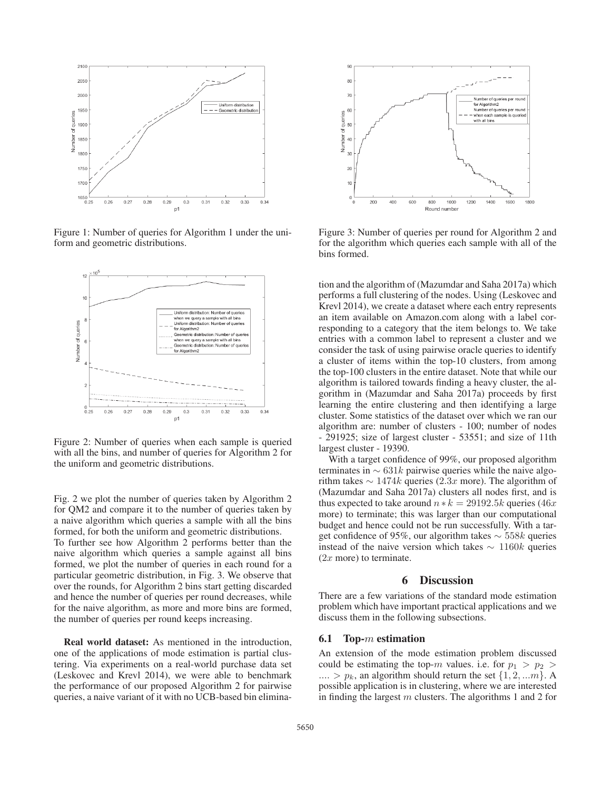

Figure 1: Number of queries for Algorithm 1 under the uniform and geometric distributions.



Figure 2: Number of queries when each sample is queried with all the bins, and number of queries for Algorithm 2 for the uniform and geometric distributions.

Fig. 2 we plot the number of queries taken by Algorithm 2 for QM2 and compare it to the number of queries taken by a naive algorithm which queries a sample with all the bins formed, for both the uniform and geometric distributions. To further see how Algorithm 2 performs better than the naive algorithm which queries a sample against all bins formed, we plot the number of queries in each round for a particular geometric distribution, in Fig. 3. We observe that over the rounds, for Algorithm 2 bins start getting discarded and hence the number of queries per round decreases, while for the naive algorithm, as more and more bins are formed, the number of queries per round keeps increasing.

Real world dataset: As mentioned in the introduction, one of the applications of mode estimation is partial clustering. Via experiments on a real-world purchase data set (Leskovec and Krevl 2014), we were able to benchmark the performance of our proposed Algorithm 2 for pairwise queries, a naive variant of it with no UCB-based bin elimina-



Figure 3: Number of queries per round for Algorithm 2 and for the algorithm which queries each sample with all of the bins formed.

tion and the algorithm of (Mazumdar and Saha 2017a) which performs a full clustering of the nodes. Using (Leskovec and Krevl 2014), we create a dataset where each entry represents an item available on Amazon.com along with a label corresponding to a category that the item belongs to. We take entries with a common label to represent a cluster and we consider the task of using pairwise oracle queries to identify a cluster of items within the top-10 clusters, from among the top-100 clusters in the entire dataset. Note that while our algorithm is tailored towards finding a heavy cluster, the algorithm in (Mazumdar and Saha 2017a) proceeds by first learning the entire clustering and then identifying a large cluster. Some statistics of the dataset over which we ran our algorithm are: number of clusters - 100; number of nodes - 291925; size of largest cluster - 53551; and size of 11th largest cluster - 19390.

With a target confidence of 99%, our proposed algorithm terminates in  $\sim 631k$  pairwise queries while the naive algorithm takes  $\sim 1474k$  queries (2.3x more). The algorithm of (Mazumdar and Saha 2017a) clusters all nodes first, and is thus expected to take around  $n * k = 29192.5k$  queries (46x) more) to terminate; this was larger than our computational budget and hence could not be run successfully. With a target confidence of 95%, our algorithm takes <sup>∼</sup> 558<sup>k</sup> queries instead of the naive version which takes  $\sim$  1160k queries  $(2x \text{ more})$  to terminate.

### 6 Discussion

There are a few variations of the standard mode estimation problem which have important practical applications and we discuss them in the following subsections.

#### 6.1 Top-m estimation

An extension of the mode estimation problem discussed could be estimating the top-m values. i.e. for  $p_1 > p_2$  $\ldots > p_k$ , an algorithm should return the set  $\{1, 2, \ldots m\}$ . A possible application is in clustering, where we are interested in finding the largest  $m$  clusters. The algorithms 1 and 2 for